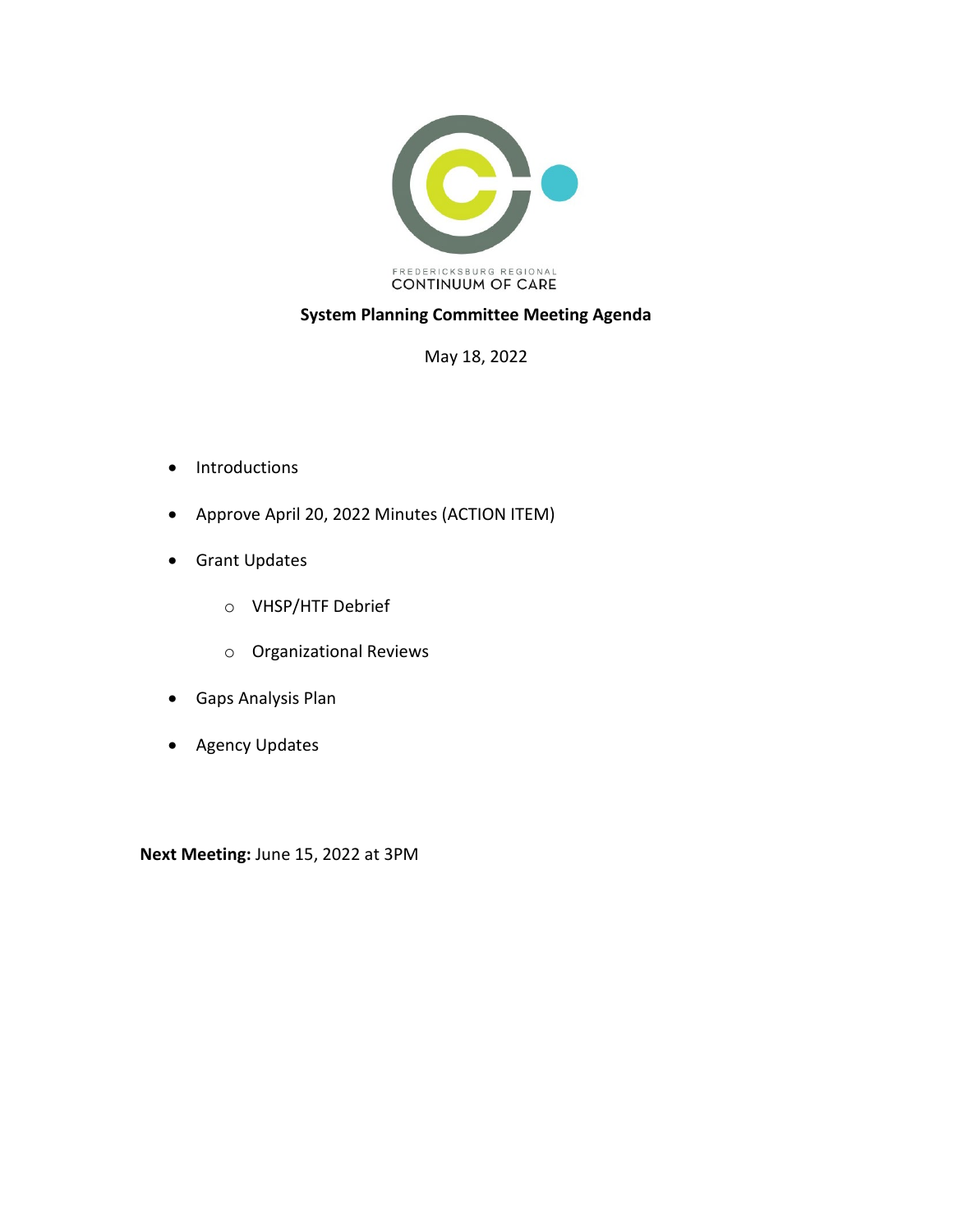

## **System Planning Committee Meeting Agenda**

May 18, 2022

- Introductions
- Approve April 20, 2022 Minutes (ACTION ITEM)
- Grant Updates
	- o VHSP/HTF Debrief
	- o Organizational Reviews
- Gaps Analysis Plan
- Agency Updates

**Next Meeting:** June 15, 2022 at 3PM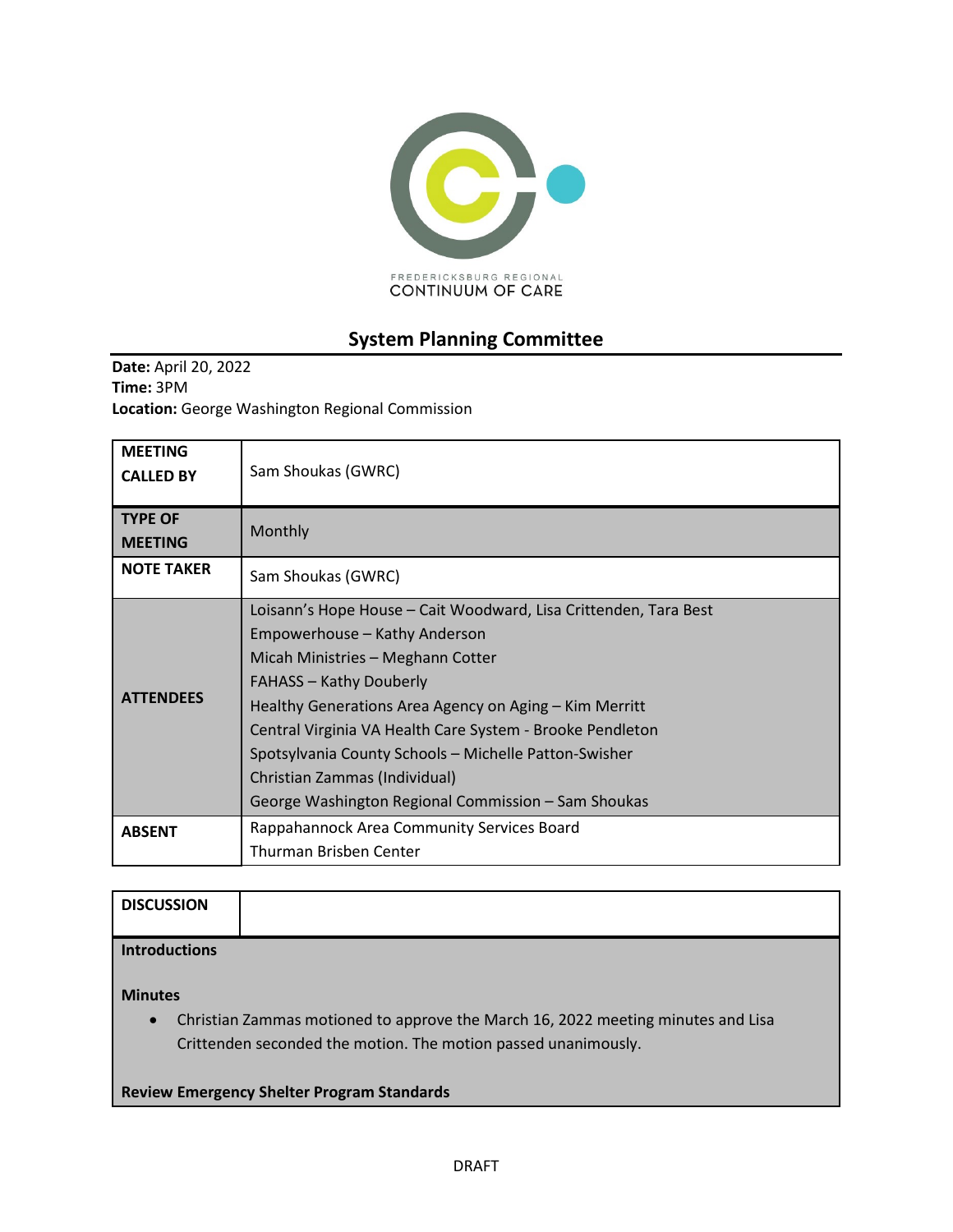

# **System Planning Committee**

**Date:** April 20, 2022 **Time:** 3PM **Location:** George Washington Regional Commission

| <b>MEETING</b><br><b>CALLED BY</b> | Sam Shoukas (GWRC)                                                                                                                                                                                                                                                                                                                                                                                                                               |
|------------------------------------|--------------------------------------------------------------------------------------------------------------------------------------------------------------------------------------------------------------------------------------------------------------------------------------------------------------------------------------------------------------------------------------------------------------------------------------------------|
| <b>TYPE OF</b><br><b>MEETING</b>   | Monthly                                                                                                                                                                                                                                                                                                                                                                                                                                          |
| <b>NOTE TAKER</b>                  | Sam Shoukas (GWRC)                                                                                                                                                                                                                                                                                                                                                                                                                               |
| <b>ATTFNDFFS</b>                   | Loisann's Hope House - Cait Woodward, Lisa Crittenden, Tara Best<br>Empowerhouse - Kathy Anderson<br>Micah Ministries - Meghann Cotter<br><b>FAHASS - Kathy Douberly</b><br>Healthy Generations Area Agency on Aging - Kim Merritt<br>Central Virginia VA Health Care System - Brooke Pendleton<br>Spotsylvania County Schools - Michelle Patton-Swisher<br>Christian Zammas (Individual)<br>George Washington Regional Commission – Sam Shoukas |
| <b>ABSENT</b>                      | Rappahannock Area Community Services Board<br>Thurman Brisben Center                                                                                                                                                                                                                                                                                                                                                                             |

| <b>DISCUSSION</b>    |  |
|----------------------|--|
| <b>Introductions</b> |  |

**Minutes**

• Christian Zammas motioned to approve the March 16, 2022 meeting minutes and Lisa Crittenden seconded the motion. The motion passed unanimously.

**Review Emergency Shelter Program Standards**